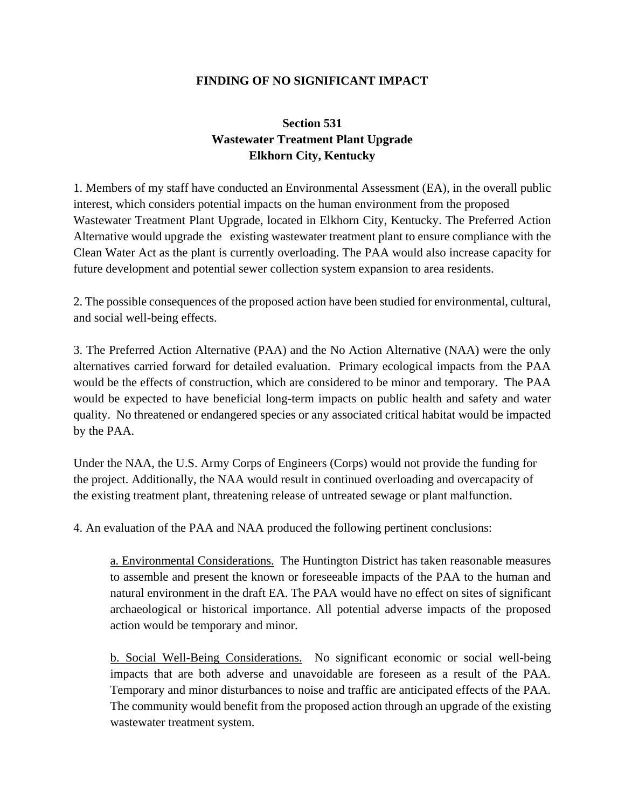## **FINDING OF NO SIGNIFICANT IMPACT**

## **Section 531 Wastewater Treatment Plant Upgrade Elkhorn City, Kentucky**

1. Members of my staff have conducted an Environmental Assessment (EA), in the overall public interest, which considers potential impacts on the human environment from the proposed Wastewater Treatment Plant Upgrade, located in Elkhorn City, Kentucky. The Preferred Action Alternative would upgrade the existing wastewater treatment plant to ensure compliance with the Clean Water Act as the plant is currently overloading. The PAA would also increase capacity for future development and potential sewer collection system expansion to area residents.

2. The possible consequences of the proposed action have been studied for environmental, cultural, and social well-being effects.

3. The Preferred Action Alternative (PAA) and the No Action Alternative (NAA) were the only alternatives carried forward for detailed evaluation. Primary ecological impacts from the PAA would be the effects of construction, which are considered to be minor and temporary. The PAA would be expected to have beneficial long-term impacts on public health and safety and water quality. No threatened or endangered species or any associated critical habitat would be impacted by the PAA.

Under the NAA, the U.S. Army Corps of Engineers (Corps) would not provide the funding for the project. Additionally, the NAA would result in continued overloading and overcapacity of the existing treatment plant, threatening release of untreated sewage or plant malfunction.

4. An evaluation of the PAA and NAA produced the following pertinent conclusions:

a. Environmental Considerations. The Huntington District has taken reasonable measures to assemble and present the known or foreseeable impacts of the PAA to the human and natural environment in the draft EA. The PAA would have no effect on sites of significant archaeological or historical importance. All potential adverse impacts of the proposed action would be temporary and minor.

b. Social Well-Being Considerations. No significant economic or social well-being impacts that are both adverse and unavoidable are foreseen as a result of the PAA. Temporary and minor disturbances to noise and traffic are anticipated effects of the PAA. The community would benefit from the proposed action through an upgrade of the existing wastewater treatment system.